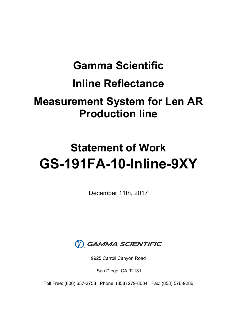# **Gamma Scientific Inline Reflectance Measurement System for Len AR Production line**

# **Statement of Work GS-191FA-10-Inline-9XY**

December 11th, 2017



9925 Carroll Canyon Road

San Diego, CA 92131

Toll Free: (800) 637-2758 Phone: (858) 279-8034 Fax: (858) 576-9286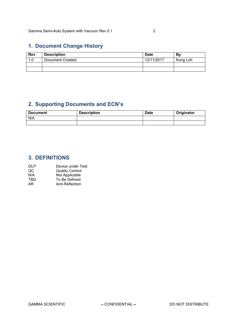# **1. Document Change History**

| <b>Rev</b> | <b>Description</b> | <b>Date</b> | Bv       |
|------------|--------------------|-------------|----------|
| 1.0        | Document Created   | 12/11/2017  | Kong Loh |
|            |                    |             |          |
|            |                    |             |          |

# **2. Supporting Documents and ECN's**

| <b>Document</b> | <b>Description</b> | <b>Date</b> | Originator |
|-----------------|--------------------|-------------|------------|
| N/A             |                    |             |            |
|                 |                    |             |            |

# **3. DEFINITIONS**

| DUT | Device under Test      |
|-----|------------------------|
| QC  | <b>Quality Control</b> |
| N/A | Not Applicable         |
| TBD | To Be Defined          |
| AR. | Anti-Reflection        |
|     |                        |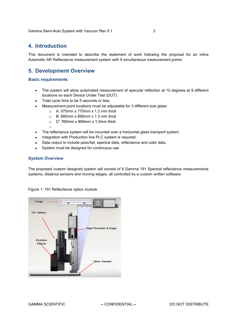Gamma Semi-Auto System with Vacuum Rev 0.1 3

## **4. Introduction**

This document is intended to describe the statement of work following the proposal for an inline Automatic AR Reflectance measurement system with 9 simultaneous measurement points.

## **5. Development Overview**

#### **Basic requirements**

- The system will allow automated measurement of specular reflection at 10 degrees at 9 different locations on each Device Under Test (DUT).
- Total cycle time to be 5 seconds or less.
- Measurement point locations must be adjustable for 3 different size glass:
	- $\circ$  A: 570mm x 770mm x 1.3 mm thick
	- $\circ$  B: 680mm x 895mm x 1.3 mm thick
	- $\circ$  C" 760mm x 895mm x 1.0mm thick
- The reflectance system will be mounted over a horizontal glass transport system.
- Integration with Production line PLC system is required.
- Data output to include pass/fail, spectral data, reflectance and color data.
- System must be designed for continuous use

### **System Overview**

 $\circ$ 

The proposed custom designed system will consist of 9 Gamma 191 Spectral reflectance measurements systems, distance sensors and moving stages, all controlled by a custom written software.



Figure 1: 191 Reflectance optics module

GAMMA SCIENTIFIC CONFIDENTIAL DO NOT DISTRIBUTE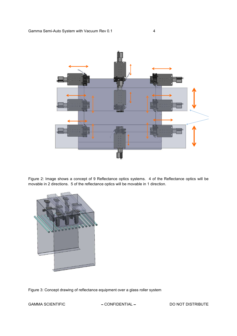

Figure 2: Image shows a concept of 9 Reflectance optics systems. 4 of the Reflectance optics will be movable in 2 directions. 5 of the reflectance optics will be movable in 1 direction.



Figure 3: Concept drawing of reflectance equipment over a glass roller system

GAMMA SCIENTIFIC  $-$  CONFIDENTIAL  $-$  DO NOT DISTRIBUTE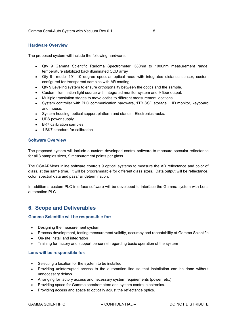#### **Hardware Overview**

The proposed system will include the following hardware:

- Qty 9 Gamma Scientific Radoma Spectrometer, 380nm to 1000nm measurement range, temperature stabilized back illuminated CCD array
- Qty 9 model 191 10 degree specular optical head with integrated distance sensor, custom configured for transparent samples with AR coating.
- Qty 9 Leveling system to ensure orthogonality between the optics and the sample.
- Custom Illumination light source with integrated monitor system and 9 fiber output.
- Multiple translation stages to move optics to different measurement locations.
- System controller with PLC communication hardware, 1TB SSD storage. HD monitor, keyboard and mouse.
- System housing, optical support platform and stands. Electronics racks.
- UPS power supply
- BK7 calibration samples.
- 1 BK7 standard for calibration

#### **Software Overview**

The proposed system will include a custom developed control software to measure specular reflectance for all 3 samples sizes, 9 measurement points per glass.

The GSAARMeas inline software controls 9 optical systems to measure the AR reflectance and color of glass, at the same time. It will be programmable for different glass sizes. Data output will be reflectance, color, spectral data and pass/fail determination.

In addition a custom PLC interface software will be developed to interface the Gamma system with Lens automation PLC.

# **6. Scope and Deliverables**

#### **Gamma Scientific will be responsible for:**

- Designing the measurement system
- Process development, testing measurement validity, accuracy and repeatability at Gamma Scientific
- On-site Install and integration
- Training for factory and support personnel regarding basic operation of the system

#### **Lens will be responsible for:**

- Selecting a location for the system to be installed.
- Providing uninterrupted access to the automation line so that installation can be done without unnecessary delays.
- Arranging for factory access and necessary system requirements (power, etc.)
- Providing space for Gamma spectrometers and system control electronics.
- Providing access and space to optically adjust the reflectance optics.

GAMMA SCIENTIFIC CONFIDENTIAL DO NOT DISTRIBUTE